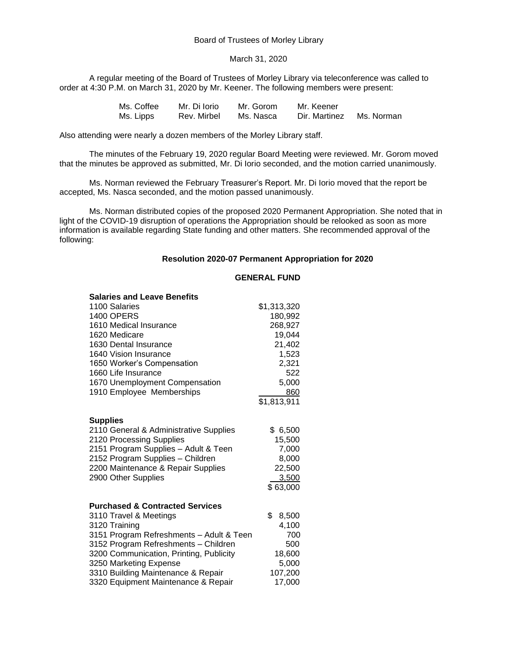#### March 31, 2020

A regular meeting of the Board of Trustees of Morley Library via teleconference was called to order at 4:30 P.M. on March 31, 2020 by Mr. Keener. The following members were present:

| Ms. Coffee | Mr. Di Iorio | Mr. Gorom | Mr. Keener    |            |
|------------|--------------|-----------|---------------|------------|
| Ms. Lipps  | Rev. Mirbel  | Ms. Nasca | Dir. Martinez | Ms. Norman |

Also attending were nearly a dozen members of the Morley Library staff.

The minutes of the February 19, 2020 regular Board Meeting were reviewed. Mr. Gorom moved that the minutes be approved as submitted, Mr. Di Iorio seconded, and the motion carried unanimously.

Ms. Norman reviewed the February Treasurer's Report. Mr. Di Iorio moved that the report be accepted, Ms. Nasca seconded, and the motion passed unanimously.

Ms. Norman distributed copies of the proposed 2020 Permanent Appropriation. She noted that in light of the COVID-19 disruption of operations the Appropriation should be relooked as soon as more information is available regarding State funding and other matters. She recommended approval of the following:

#### **Resolution 2020-07 Permanent Appropriation for 2020**

## **GENERAL FUND**

| <b>Salaries and Leave Benefits</b>         |             |
|--------------------------------------------|-------------|
| 1100 Salaries                              | \$1,313,320 |
| <b>1400 OPERS</b>                          | 180,992     |
| 1610 Medical Insurance                     | 268,927     |
| 1620 Medicare                              | 19,044      |
| 1630 Dental Insurance                      | 21,402      |
| 1640 Vision Insurance                      | 1,523       |
| 1650 Worker's Compensation                 | 2,321       |
| 1660 Life Insurance                        | 522         |
| 1670 Unemployment Compensation             | 5,000       |
| 1910 Employee Memberships                  | 860         |
|                                            | \$1,813,911 |
|                                            |             |
| <b>Supplies</b>                            |             |
| 2110 General & Administrative Supplies     | \$6,500     |
| 2120 Processing Supplies                   | 15,500      |
| 2151 Program Supplies - Adult & Teen       | 7,000       |
| 2152 Program Supplies - Children           | 8,000       |
| 2200 Maintenance & Repair Supplies         | 22,500      |
| 2900 Other Supplies                        | 3,500       |
|                                            | \$63,000    |
|                                            |             |
| <b>Purchased &amp; Contracted Services</b> |             |
| 3110 Travel & Meetings                     | \$<br>8,500 |
| 3120 Training                              | 4,100       |
| 3151 Program Refreshments - Adult & Teen   | 700         |
| 3152 Program Refreshments - Children       | 500         |
| 3200 Communication, Printing, Publicity    | 18,600      |
| 3250 Marketing Expense                     | 5,000       |
| 3310 Building Maintenance & Repair         | 107,200     |
| 3320 Equipment Maintenance & Repair        | 17,000      |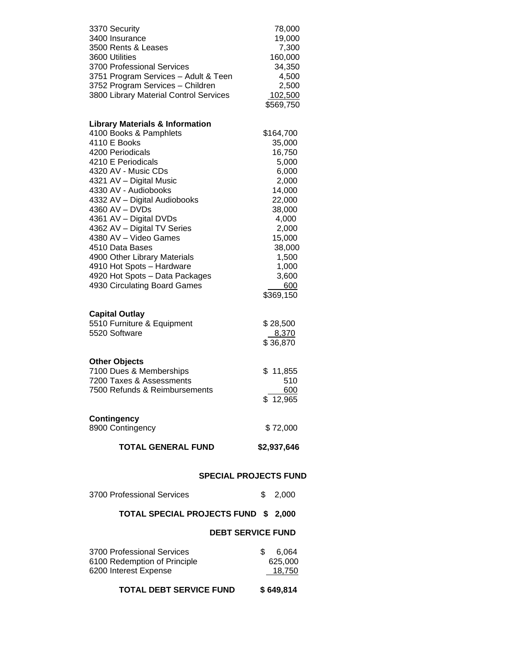| 3370 Security                                         | 78,000            |
|-------------------------------------------------------|-------------------|
| 3400 Insurance<br>3500 Rents & Leases                 | 19,000            |
| 3600 Utilities                                        | 7,300<br>160,000  |
| 3700 Professional Services                            | 34,350            |
| 3751 Program Services - Adult & Teen                  | 4,500             |
| 3752 Program Services - Children                      | 2,500             |
| 3800 Library Material Control Services                | 102,500           |
|                                                       | \$569,750         |
| <b>Library Materials &amp; Information</b>            |                   |
| 4100 Books & Pamphlets                                | \$164,700         |
| 4110 E Books                                          | 35,000            |
| 4200 Periodicals                                      | 16,750            |
| 4210 E Periodicals                                    | 5,000             |
| 4320 AV - Music CDs                                   | 6,000             |
| 4321 AV - Digital Music                               | 2,000             |
| 4330 AV - Audiobooks                                  | 14,000            |
| 4332 AV - Digital Audiobooks                          | 22,000            |
| 4360 AV - DVDs                                        | 38,000<br>4,000   |
| 4361 AV - Digital DVDs<br>4362 AV - Digital TV Series | 2,000             |
| 4380 AV - Video Games                                 | 15,000            |
| 4510 Data Bases                                       | 38,000            |
| 4900 Other Library Materials                          | 1,500             |
| 4910 Hot Spots - Hardware                             | 1,000             |
| 4920 Hot Spots - Data Packages                        | 3,600             |
| 4930 Circulating Board Games                          | 600               |
|                                                       | \$369,150         |
|                                                       |                   |
| <b>Capital Outlay</b>                                 |                   |
| 5510 Furniture & Equipment                            | \$28,500          |
| 5520 Software                                         | 8,370             |
|                                                       | \$36,870          |
| <b>Other Objects</b>                                  |                   |
| 7100 Dues & Memberships                               | \$11,855          |
| 7200 Taxes & Assessments                              | 510               |
| 7500 Refunds & Reimbursements                         | 600               |
|                                                       | \$12,965          |
| <b>Contingency</b>                                    |                   |
| 8900 Contingency                                      | \$72,000          |
| <b>TOTAL GENERAL FUND</b>                             | \$2,937,646       |
|                                                       |                   |
| <b>SPECIAL PROJECTS FUND</b>                          |                   |
| 3700 Professional Services                            | \$<br>2,000       |
| <b>TOTAL SPECIAL PROJECTS FUND</b>                    | \$<br>2,000       |
| <b>DEBT SERVICE FUND</b>                              |                   |
|                                                       |                   |
| 3700 Professional Services                            | \$<br>6,064       |
| 6100 Redemption of Principle<br>6200 Interest Expense | 625,000<br>18,750 |

**TOTAL DEBT SERVICE FUND \$ 649,814**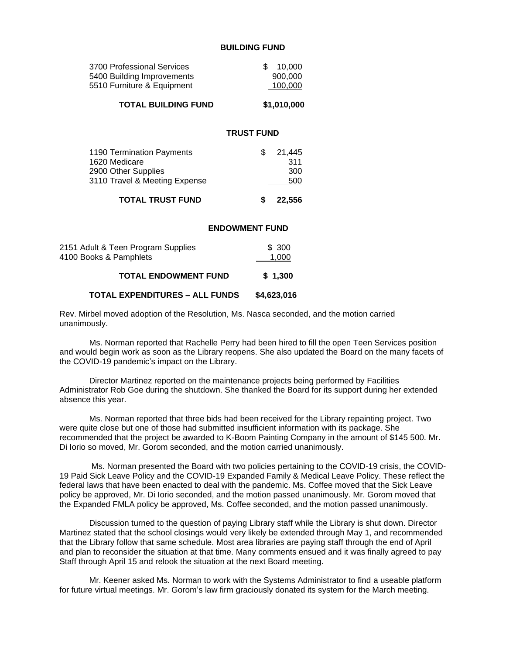### **BUILDING FUND**

| 3700 Professional Services<br>5400 Building Improvements<br>5510 Furniture & Equipment | \$<br>900,000<br>100,000 | 10,000               |
|----------------------------------------------------------------------------------------|--------------------------|----------------------|
| <b>TOTAL BUILDING FUND</b>                                                             | \$1,010,000              |                      |
|                                                                                        | <b>TRUST FUND</b>        |                      |
| 1190 Termination Payments<br>1620 Medicare<br>2900 Other Supplies                      | \$                       | 21,445<br>311<br>300 |

3110 Travel & Meeting Expense 500

# **TOTAL TRUST FUND \$ 22,556**

#### **ENDOWMENT FUND**

| 2151 Adult & Teen Program Supplies<br>4100 Books & Pamphlets | \$300<br>1.000 |  |
|--------------------------------------------------------------|----------------|--|
| <b>TOTAL ENDOWMENT FUND</b>                                  | \$1,300        |  |
| <b>TOTAL EXPENDITURES - ALL FUNDS</b>                        | \$4,623,016    |  |

Rev. Mirbel moved adoption of the Resolution, Ms. Nasca seconded, and the motion carried unanimously.

Ms. Norman reported that Rachelle Perry had been hired to fill the open Teen Services position and would begin work as soon as the Library reopens. She also updated the Board on the many facets of the COVID-19 pandemic's impact on the Library.

Director Martinez reported on the maintenance projects being performed by Facilities Administrator Rob Goe during the shutdown. She thanked the Board for its support during her extended absence this year.

Ms. Norman reported that three bids had been received for the Library repainting project. Two were quite close but one of those had submitted insufficient information with its package. She recommended that the project be awarded to K-Boom Painting Company in the amount of \$145 500. Mr. Di Iorio so moved, Mr. Gorom seconded, and the motion carried unanimously.

Ms. Norman presented the Board with two policies pertaining to the COVID-19 crisis, the COVID-19 Paid Sick Leave Policy and the COVID-19 Expanded Family & Medical Leave Policy. These reflect the federal laws that have been enacted to deal with the pandemic. Ms. Coffee moved that the Sick Leave policy be approved, Mr. Di Iorio seconded, and the motion passed unanimously. Mr. Gorom moved that the Expanded FMLA policy be approved, Ms. Coffee seconded, and the motion passed unanimously.

Discussion turned to the question of paying Library staff while the Library is shut down. Director Martinez stated that the school closings would very likely be extended through May 1, and recommended that the Library follow that same schedule. Most area libraries are paying staff through the end of April and plan to reconsider the situation at that time. Many comments ensued and it was finally agreed to pay Staff through April 15 and relook the situation at the next Board meeting.

Mr. Keener asked Ms. Norman to work with the Systems Administrator to find a useable platform for future virtual meetings. Mr. Gorom's law firm graciously donated its system for the March meeting.